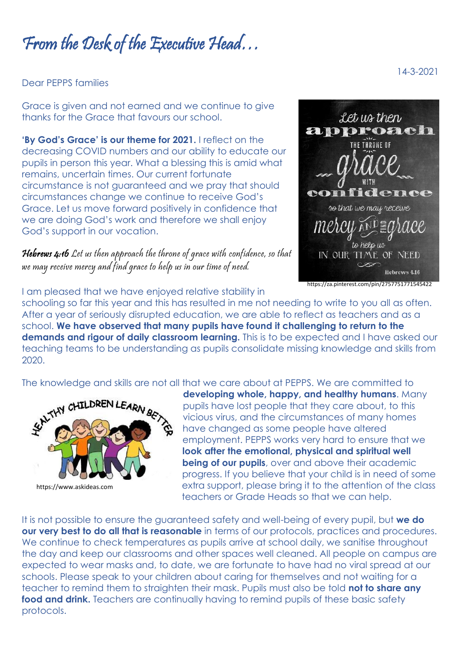## From the Desk of the Executive Head…

Dear PEPPS families

Grace is given and not earned and we continue to give thanks for the Grace that favours our school.

**'By God's Grace' is our theme for 2021.** I reflect on the decreasing COVID numbers and our ability to educate our pupils in person this year. What a blessing this is amid what remains, uncertain times. Our current fortunate circumstance is not guaranteed and we pray that should circumstances change we continue to receive God's Grace. Let us move forward positively in confidence that we are doing God's work and therefore we shall enjoy God's support in our vocation.

Hebrews 4:16 Let us then approach the throne of grace with confidence, so that we may receive mercy and find grace to help us in our time of need.



I am pleased that we have enjoyed relative stability in

schooling so far this year and this has resulted in me not needing to write to you all as often. After a year of seriously disrupted education, we are able to reflect as teachers and as a school. **We have observed that many pupils have found it challenging to return to the demands and rigour of daily classroom learning.** This is to be expected and I have asked our teaching teams to be understanding as pupils consolidate missing knowledge and skills from 2020.

The knowledge and skills are not all that we care about at PEPPS. We are committed to



**developing whole, happy, and healthy humans**. Many pupils have lost people that they care about, to this vicious virus, and the circumstances of many homes have changed as some people have altered employment. PEPPS works very hard to ensure that we **look after the emotional, physical and spiritual well being of our pupils**, over and above their academic progress. If you believe that your child is in need of some extra support, please bring it to the attention of the class teachers or Grade Heads so that we can help.

It is not possible to ensure the guaranteed safety and well-being of every pupil, but **we do our very best to do all that is reasonable** in terms of our protocols, practices and procedures. We continue to check temperatures as pupils arrive at school daily, we sanitise throughout the day and keep our classrooms and other spaces well cleaned. All people on campus are expected to wear masks and, to date, we are fortunate to have had no viral spread at our schools. Please speak to your children about caring for themselves and not waiting for a teacher to remind them to straighten their mask. Pupils must also be told **not to share any**  food and drink. Teachers are continually having to remind pupils of these basic safety protocols.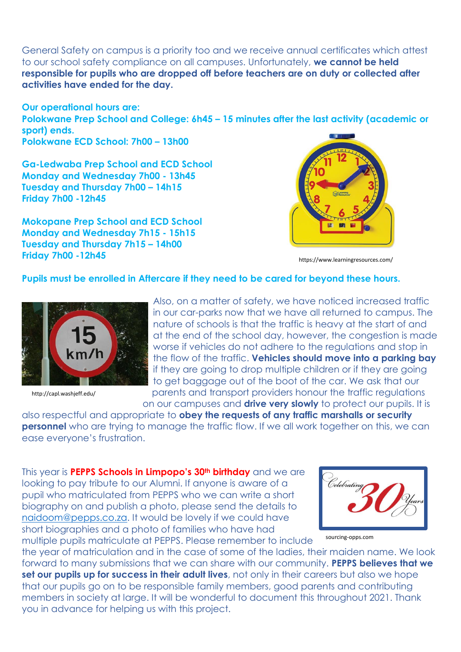General Safety on campus is a priority too and we receive annual certificates which attest to our school safety compliance on all campuses. Unfortunately, **we cannot be held responsible for pupils who are dropped off before teachers are on duty or collected after activities have ended for the day.**

**Our operational hours are: Polokwane Prep School and College: 6h45 – 15 minutes after the last activity (academic or sport) ends. Polokwane ECD School: 7h00 – 13h00**

**Ga-Ledwaba Prep School and ECD School Monday and Wednesday 7h00 - 13h45 Tuesday and Thursday 7h00 – 14h15 Friday 7h00 -12h45**

**Mokopane Prep School and ECD School Monday and Wednesday 7h15 - 15h15 Tuesday and Thursday 7h15 – 14h00 Friday 7h00 -12h45**



https://www.learningresources.com/

## **Pupils must be enrolled in Aftercare if they need to be cared for beyond these hours.**



http://capl.washjeff.edu/

Also, on a matter of safety, we have noticed increased traffic in our car-parks now that we have all returned to campus. The nature of schools is that the traffic is heavy at the start of and at the end of the school day, however, the congestion is made worse if vehicles do not adhere to the regulations and stop in the flow of the traffic. **Vehicles should move into a parking bay** if they are going to drop multiple children or if they are going to get baggage out of the boot of the car. We ask that our parents and transport providers honour the traffic regulations

on our campuses and **drive very slowly** to protect our pupils. It is

also respectful and appropriate to **obey the requests of any traffic marshalls or security personnel** who are trying to manage the traffic flow. If we all work together on this, we can ease everyone's frustration.

This year is **PEPPS Schools in Limpopo's 30th birthday** and we are looking to pay tribute to our Alumni. If anyone is aware of a pupil who matriculated from PEPPS who we can write a short biography on and publish a photo, please send the details to [naidoom@pepps.co.za.](mailto:naidoom@pepps.co.za) It would be lovely if we could have short biographies and a photo of families who have had multiple pupils matriculate at PEPPS. Please remember to include



sourcing-opps.com

the year of matriculation and in the case of some of the ladies, their maiden name. We look forward to many submissions that we can share with our community. **PEPPS believes that we set our pupils up for success in their adult lives**, not only in their careers but also we hope that our pupils go on to be responsible family members, good parents and contributing members in society at large. It will be wonderful to document this throughout 2021. Thank you in advance for helping us with this project.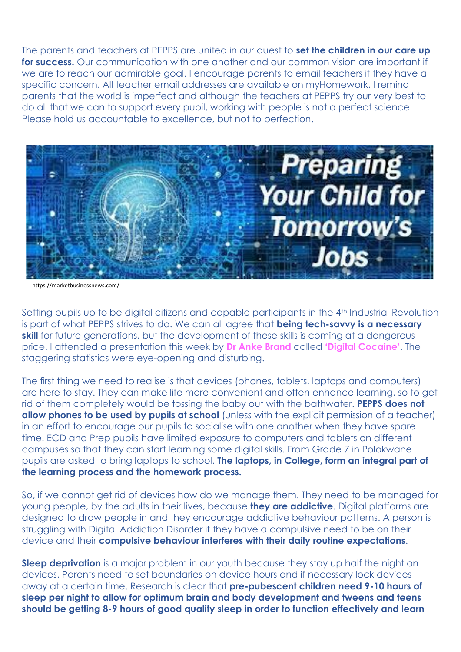The parents and teachers at PEPPS are united in our quest to **set the children in our care up for success.** Our communication with one another and our common vision are important if we are to reach our admirable goal. I encourage parents to email teachers if they have a specific concern. All teacher email addresses are available on myHomework. I remind parents that the world is imperfect and although the teachers at PEPPS try our very best to do all that we can to support every pupil, working with people is not a perfect science. Please hold us accountable to excellence, but not to perfection.



https://marketbusinessnews.com/

Setting pupils up to be digital citizens and capable participants in the 4<sup>th</sup> Industrial Revolution is part of what PEPPS strives to do. We can all agree that **being tech-savvy is a necessary skill** for future generations, but the development of these skills is coming at a dangerous price. I attended a presentation this week by **Dr Anke Brand** called **'Digital Cocaine'**. The staggering statistics were eye-opening and disturbing.

The first thing we need to realise is that devices (phones, tablets, laptops and computers) are here to stay. They can make life more convenient and often enhance learning, so to get rid of them completely would be tossing the baby out with the bathwater. **PEPPS does not allow phones to be used by pupils at school** (unless with the explicit permission of a teacher) in an effort to encourage our pupils to socialise with one another when they have spare time. ECD and Prep pupils have limited exposure to computers and tablets on different campuses so that they can start learning some digital skills. From Grade 7 in Polokwane pupils are asked to bring laptops to school. **The laptops, in College, form an integral part of the learning process and the homework process.**

So, if we cannot get rid of devices how do we manage them. They need to be managed for young people, by the adults in their lives, because **they are addictive**. Digital platforms are designed to draw people in and they encourage addictive behaviour patterns. A person is struggling with Digital Addiction Disorder if they have a compulsive need to be on their device and their **compulsive behaviour interferes with their daily routine expectations**.

**Sleep deprivation** is a major problem in our youth because they stay up half the night on devices. Parents need to set boundaries on device hours and if necessary lock devices away at a certain time. Research is clear that **pre-pubescent children need 9-10 hours of sleep per night to allow for optimum brain and body development and tweens and teens should be getting 8-9 hours of good quality sleep in order to function effectively and learn**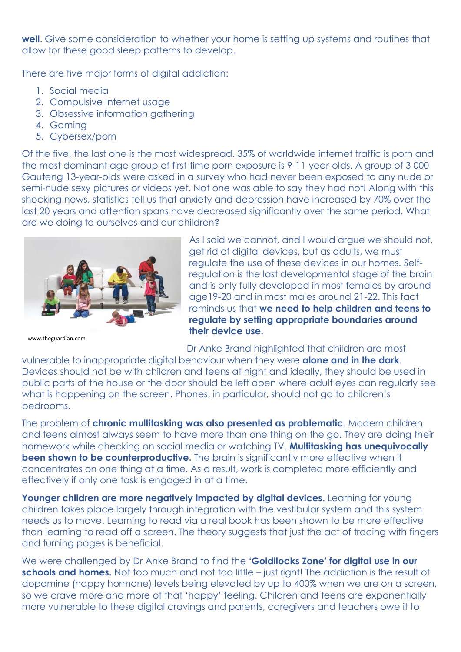**well**. Give some consideration to whether your home is setting up systems and routines that allow for these good sleep patterns to develop.

There are five major forms of digital addiction:

- 1. Social media
- 2. Compulsive Internet usage
- 3. Obsessive information gathering
- 4. Gaming
- 5. Cybersex/porn

Of the five, the last one is the most widespread. 35% of worldwide internet traffic is porn and the most dominant age group of first-time porn exposure is 9-11-year-olds. A group of 3 000 Gauteng 13-year-olds were asked in a survey who had never been exposed to any nude or semi-nude sexy pictures or videos yet. Not one was able to say they had not! Along with this shocking news, statistics tell us that anxiety and depression have increased by 70% over the last 20 years and attention spans have decreased significantly over the same period. What are we doing to ourselves and our children?



As I said we cannot, and I would argue we should not, get rid of digital devices, but as adults, we must regulate the use of these devices in our homes. Selfregulation is the last developmental stage of the brain and is only fully developed in most females by around age19-20 and in most males around 21-22. This fact reminds us that **we need to help children and teens to regulate by setting appropriate boundaries around their device use.**

www.theguardian.com

Dr Anke Brand highlighted that children are most

vulnerable to inappropriate digital behaviour when they were **alone and in the dark**. Devices should not be with children and teens at night and ideally, they should be used in public parts of the house or the door should be left open where adult eyes can regularly see what is happening on the screen. Phones, in particular, should not go to children's bedrooms.

The problem of **chronic multitasking was also presented as problematic**. Modern children and teens almost always seem to have more than one thing on the go. They are doing their homework while checking on social media or watching TV. **Multitasking has unequivocally been shown to be counterproductive.** The brain is significantly more effective when it concentrates on one thing at a time. As a result, work is completed more efficiently and effectively if only one task is engaged in at a time.

**Younger children are more negatively impacted by digital devices.** Learning for young children takes place largely through integration with the vestibular system and this system needs us to move. Learning to read via a real book has been shown to be more effective than learning to read off a screen. The theory suggests that just the act of tracing with fingers and turning pages is beneficial.

We were challenged by Dr Anke Brand to find the **'Goldilocks Zone' for digital use in our schools and homes.** Not too much and not too little – just right! The addiction is the result of dopamine (happy hormone) levels being elevated by up to 400% when we are on a screen, so we crave more and more of that 'happy' feeling. Children and teens are exponentially more vulnerable to these digital cravings and parents, caregivers and teachers owe it to